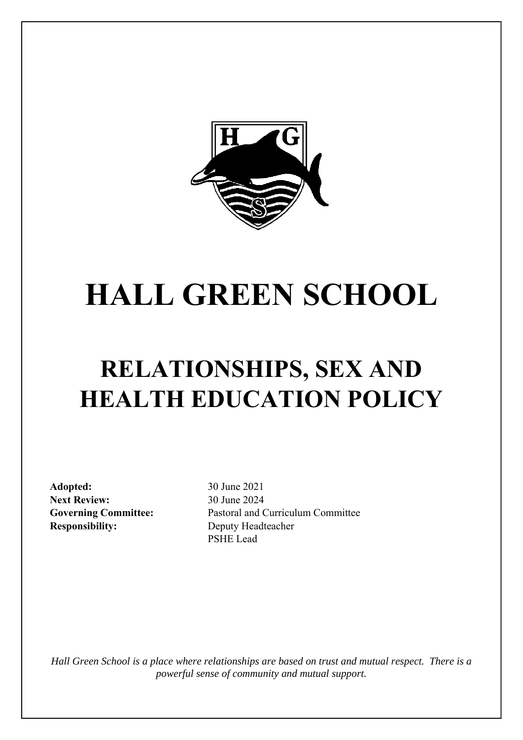

# **HALL GREEN SCHOOL**

# **RELATIONSHIPS, SEX AND HEALTH EDUCATION POLICY**

**Adopted:** 30 June 2021 **Next Review:** 30 June 2024 **Responsibility:** Deputy Headteacher

**Governing Committee:** Pastoral and Curriculum Committee PSHE Lead

*Hall Green School is a place where relationships are based on trust and mutual respect. There is a powerful sense of community and mutual support.*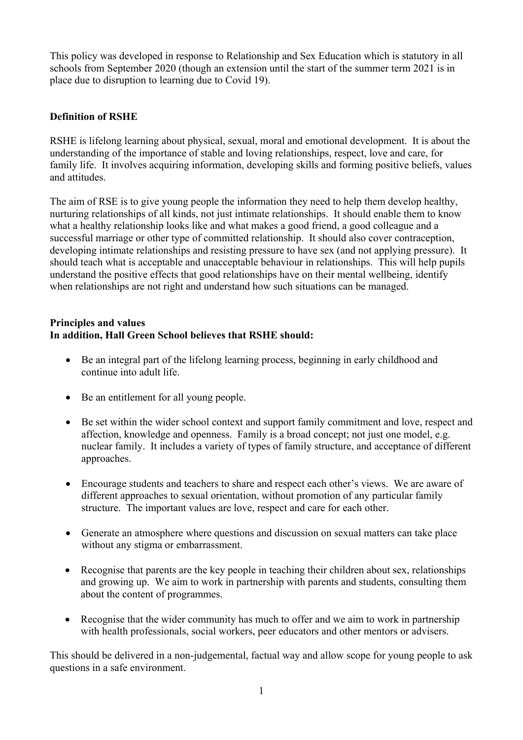This policy was developed in response to Relationship and Sex Education which is statutory in all schools from September 2020 (though an extension until the start of the summer term 2021 is in place due to disruption to learning due to Covid 19).

#### **Definition of RSHE**

RSHE is lifelong learning about physical, sexual, moral and emotional development. It is about the understanding of the importance of stable and loving relationships, respect, love and care, for family life. It involves acquiring information, developing skills and forming positive beliefs, values and attitudes.

The aim of RSE is to give young people the information they need to help them develop healthy, nurturing relationships of all kinds, not just intimate relationships. It should enable them to know what a healthy relationship looks like and what makes a good friend, a good colleague and a successful marriage or other type of committed relationship. It should also cover contraception, developing intimate relationships and resisting pressure to have sex (and not applying pressure). It should teach what is acceptable and unacceptable behaviour in relationships. This will help pupils understand the positive effects that good relationships have on their mental wellbeing, identify when relationships are not right and understand how such situations can be managed.

## **Principles and values In addition, Hall Green School believes that RSHE should:**

- Be an integral part of the lifelong learning process, beginning in early childhood and continue into adult life.
- Be an entitlement for all young people.
- Be set within the wider school context and support family commitment and love, respect and affection, knowledge and openness. Family is a broad concept; not just one model, e.g. nuclear family. It includes a variety of types of family structure, and acceptance of different approaches.
- Encourage students and teachers to share and respect each other's views. We are aware of different approaches to sexual orientation, without promotion of any particular family structure. The important values are love, respect and care for each other.
- Generate an atmosphere where questions and discussion on sexual matters can take place without any stigma or embarrassment.
- Recognise that parents are the key people in teaching their children about sex, relationships and growing up. We aim to work in partnership with parents and students, consulting them about the content of programmes.
- Recognise that the wider community has much to offer and we aim to work in partnership with health professionals, social workers, peer educators and other mentors or advisers.

This should be delivered in a non-judgemental, factual way and allow scope for young people to ask questions in a safe environment.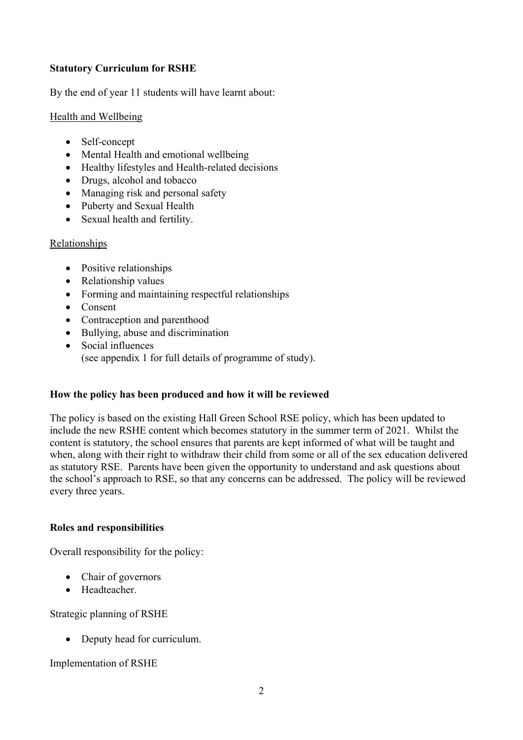#### **Statutory Curriculum for RSHE**

By the end of year 11 students will have learnt about:

#### Health and Wellbeing

- Self-concept
- Mental Health and emotional wellbeing
- Healthy lifestyles and Health-related decisions
- Drugs, alcohol and tobacco
- Managing risk and personal safety
- Puberty and Sexual Health
- Sexual health and fertility.

#### Relationships

- Positive relationships
- Relationship values
- Forming and maintaining respectful relationships
- Consent
- Contraception and parenthood
- Bullying, abuse and discrimination
- Social influences (see appendix 1 for full details of programme of study).

#### **How the policy has been produced and how it will be reviewed**

The policy is based on the existing Hall Green School RSE policy, which has been updated to include the new RSHE content which becomes statutory in the summer term of 2021. Whilst the content is statutory, the school ensures that parents are kept informed of what will be taught and when, along with their right to withdraw their child from some or all of the sex education delivered as statutory RSE. Parents have been given the opportunity to understand and ask questions about the school's approach to RSE, so that any concerns can be addressed. The policy will be reviewed every three years.

#### **Roles and responsibilities**

Overall responsibility for the policy:

- Chair of governors
- Headteacher.

Strategic planning of RSHE

• Deputy head for curriculum.

Implementation of RSHE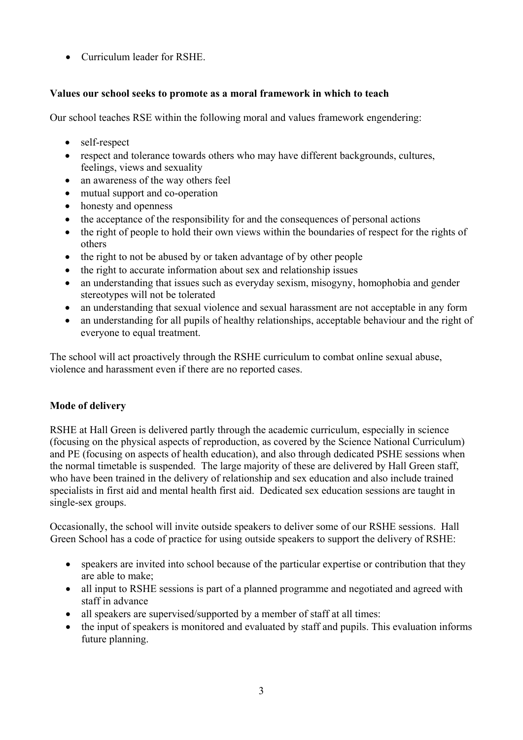• Curriculum leader for RSHE.

# **Values our school seeks to promote as a moral framework in which to teach**

Our school teaches RSE within the following moral and values framework engendering:

- self-respect
- respect and tolerance towards others who may have different backgrounds, cultures, feelings, views and sexuality
- an awareness of the way others feel
- mutual support and co-operation
- honesty and openness
- the acceptance of the responsibility for and the consequences of personal actions
- the right of people to hold their own views within the boundaries of respect for the rights of others
- the right to not be abused by or taken advantage of by other people
- the right to accurate information about sex and relationship issues
- an understanding that issues such as everyday sexism, misogyny, homophobia and gender stereotypes will not be tolerated
- an understanding that sexual violence and sexual harassment are not acceptable in any form
- an understanding for all pupils of healthy relationships, acceptable behaviour and the right of everyone to equal treatment.

The school will act proactively through the RSHE curriculum to combat online sexual abuse, violence and harassment even if there are no reported cases.

# **Mode of delivery**

RSHE at Hall Green is delivered partly through the academic curriculum, especially in science (focusing on the physical aspects of reproduction, as covered by the Science National Curriculum) and PE (focusing on aspects of health education), and also through dedicated PSHE sessions when the normal timetable is suspended. The large majority of these are delivered by Hall Green staff, who have been trained in the delivery of relationship and sex education and also include trained specialists in first aid and mental health first aid. Dedicated sex education sessions are taught in single-sex groups.

Occasionally, the school will invite outside speakers to deliver some of our RSHE sessions. Hall Green School has a code of practice for using outside speakers to support the delivery of RSHE:

- speakers are invited into school because of the particular expertise or contribution that they are able to make;
- all input to RSHE sessions is part of a planned programme and negotiated and agreed with staff in advance
- all speakers are supervised/supported by a member of staff at all times:
- the input of speakers is monitored and evaluated by staff and pupils. This evaluation informs future planning.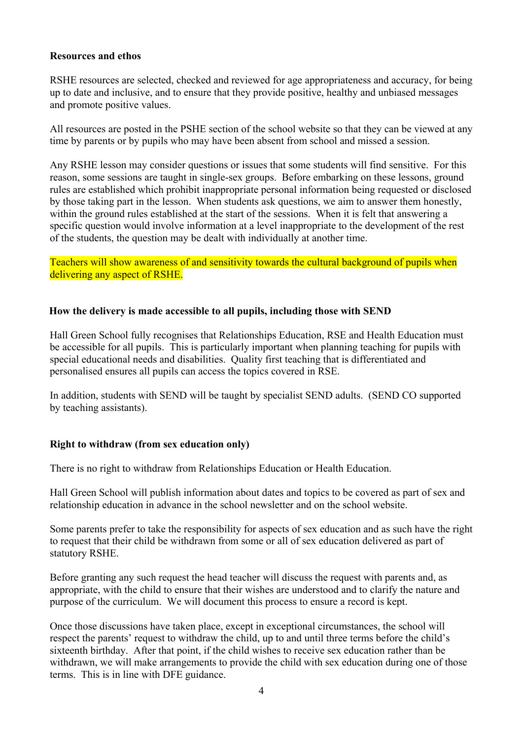#### **Resources and ethos**

RSHE resources are selected, checked and reviewed for age appropriateness and accuracy, for being up to date and inclusive, and to ensure that they provide positive, healthy and unbiased messages and promote positive values.

All resources are posted in the PSHE section of the school website so that they can be viewed at any time by parents or by pupils who may have been absent from school and missed a session.

Any RSHE lesson may consider questions or issues that some students will find sensitive. For this reason, some sessions are taught in single-sex groups. Before embarking on these lessons, ground rules are established which prohibit inappropriate personal information being requested or disclosed by those taking part in the lesson. When students ask questions, we aim to answer them honestly, within the ground rules established at the start of the sessions. When it is felt that answering a specific question would involve information at a level inappropriate to the development of the rest of the students, the question may be dealt with individually at another time.

Teachers will show awareness of and sensitivity towards the cultural background of pupils when delivering any aspect of RSHE.

#### **How the delivery is made accessible to all pupils, including those with SEND**

Hall Green School fully recognises that Relationships Education, RSE and Health Education must be accessible for all pupils. This is particularly important when planning teaching for pupils with special educational needs and disabilities. Quality first teaching that is differentiated and personalised ensures all pupils can access the topics covered in RSE.

In addition, students with SEND will be taught by specialist SEND adults. (SEND CO supported by teaching assistants).

#### **Right to withdraw (from sex education only)**

There is no right to withdraw from Relationships Education or Health Education.

Hall Green School will publish information about dates and topics to be covered as part of sex and relationship education in advance in the school newsletter and on the school website.

Some parents prefer to take the responsibility for aspects of sex education and as such have the right to request that their child be withdrawn from some or all of sex education delivered as part of statutory RSHE.

Before granting any such request the head teacher will discuss the request with parents and, as appropriate, with the child to ensure that their wishes are understood and to clarify the nature and purpose of the curriculum. We will document this process to ensure a record is kept.

Once those discussions have taken place, except in exceptional circumstances, the school will respect the parents' request to withdraw the child, up to and until three terms before the child's sixteenth birthday. After that point, if the child wishes to receive sex education rather than be withdrawn, we will make arrangements to provide the child with sex education during one of those terms. This is in line with DFE guidance.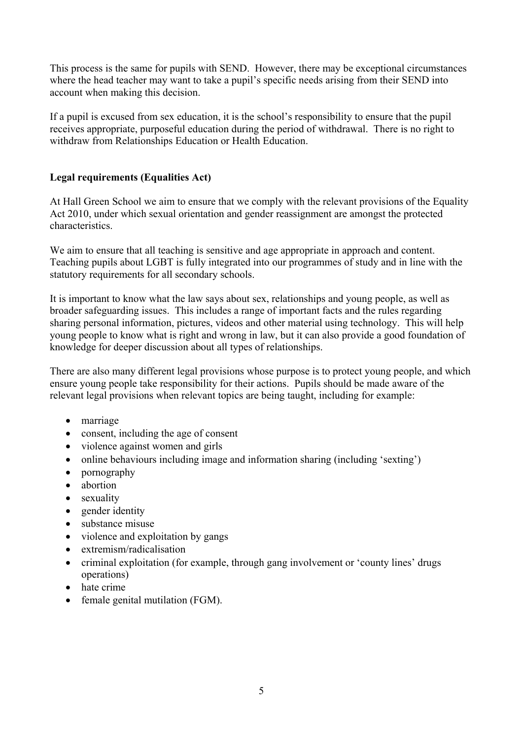This process is the same for pupils with SEND. However, there may be exceptional circumstances where the head teacher may want to take a pupil's specific needs arising from their SEND into account when making this decision.

If a pupil is excused from sex education, it is the school's responsibility to ensure that the pupil receives appropriate, purposeful education during the period of withdrawal. There is no right to withdraw from Relationships Education or Health Education.

# **Legal requirements (Equalities Act)**

At Hall Green School we aim to ensure that we comply with the relevant provisions of the Equality Act 2010, under which sexual orientation and gender reassignment are amongst the protected characteristics.

We aim to ensure that all teaching is sensitive and age appropriate in approach and content. Teaching pupils about LGBT is fully integrated into our programmes of study and in line with the statutory requirements for all secondary schools.

It is important to know what the law says about sex, relationships and young people, as well as broader safeguarding issues. This includes a range of important facts and the rules regarding sharing personal information, pictures, videos and other material using technology. This will help young people to know what is right and wrong in law, but it can also provide a good foundation of knowledge for deeper discussion about all types of relationships.

There are also many different legal provisions whose purpose is to protect young people, and which ensure young people take responsibility for their actions. Pupils should be made aware of the relevant legal provisions when relevant topics are being taught, including for example:

- marriage
- consent, including the age of consent
- violence against women and girls
- online behaviours including image and information sharing (including 'sexting')
- pornography
- abortion
- sexuality
- gender identity
- substance misuse
- violence and exploitation by gangs
- extremism/radicalisation
- criminal exploitation (for example, through gang involvement or 'county lines' drugs operations)
- hate crime
- female genital mutilation (FGM).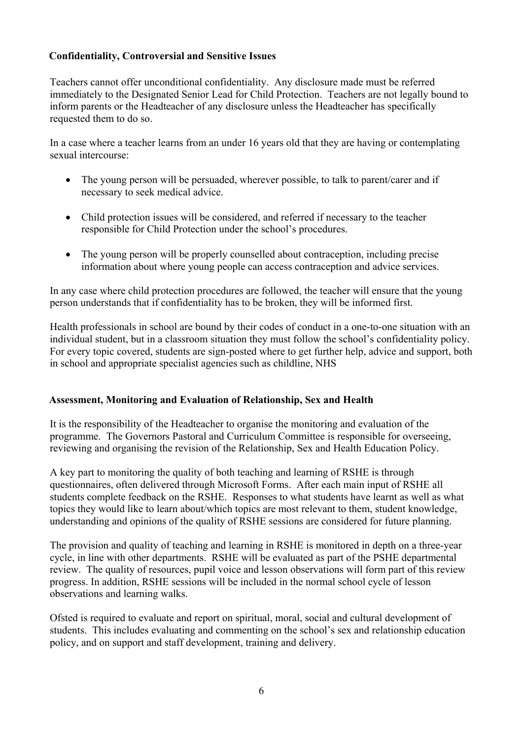#### **Confidentiality, Controversial and Sensitive Issues**

Teachers cannot offer unconditional confidentiality. Any disclosure made must be referred immediately to the Designated Senior Lead for Child Protection. Teachers are not legally bound to inform parents or the Headteacher of any disclosure unless the Headteacher has specifically requested them to do so.

In a case where a teacher learns from an under 16 years old that they are having or contemplating sexual intercourse:

- The young person will be persuaded, wherever possible, to talk to parent/carer and if necessary to seek medical advice.
- Child protection issues will be considered, and referred if necessary to the teacher responsible for Child Protection under the school's procedures.
- The young person will be properly counselled about contraception, including precise information about where young people can access contraception and advice services.

In any case where child protection procedures are followed, the teacher will ensure that the young person understands that if confidentiality has to be broken, they will be informed first.

Health professionals in school are bound by their codes of conduct in a one-to-one situation with an individual student, but in a classroom situation they must follow the school's confidentiality policy. For every topic covered, students are sign-posted where to get further help, advice and support, both in school and appropriate specialist agencies such as childline, NHS

#### **Assessment, Monitoring and Evaluation of Relationship, Sex and Health**

It is the responsibility of the Headteacher to organise the monitoring and evaluation of the programme. The Governors Pastoral and Curriculum Committee is responsible for overseeing, reviewing and organising the revision of the Relationship, Sex and Health Education Policy.

A key part to monitoring the quality of both teaching and learning of RSHE is through questionnaires, often delivered through Microsoft Forms. After each main input of RSHE all students complete feedback on the RSHE. Responses to what students have learnt as well as what topics they would like to learn about/which topics are most relevant to them, student knowledge, understanding and opinions of the quality of RSHE sessions are considered for future planning.

The provision and quality of teaching and learning in RSHE is monitored in depth on a three-year cycle, in line with other departments. RSHE will be evaluated as part of the PSHE departmental review. The quality of resources, pupil voice and lesson observations will form part of this review progress. In addition, RSHE sessions will be included in the normal school cycle of lesson observations and learning walks.

Ofsted is required to evaluate and report on spiritual, moral, social and cultural development of students. This includes evaluating and commenting on the school's sex and relationship education policy, and on support and staff development, training and delivery.